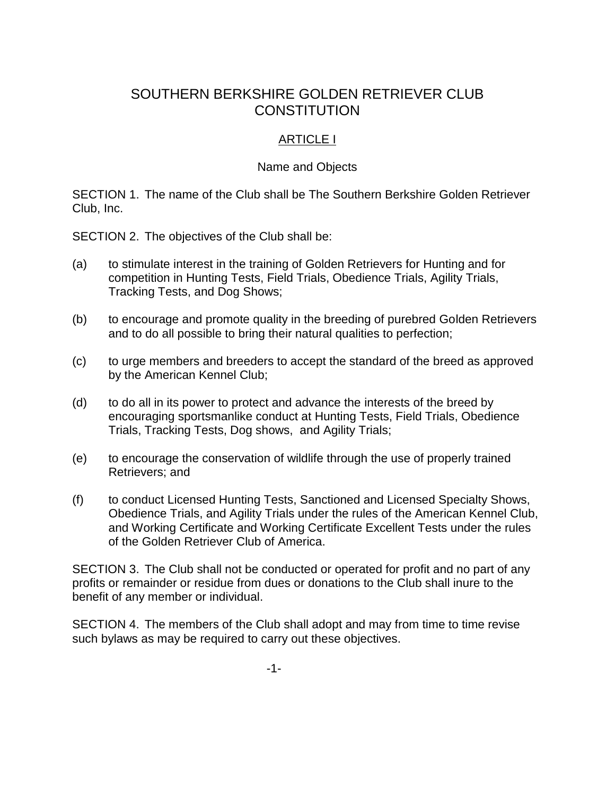# SOUTHERN BERKSHIRE GOLDEN RETRIEVER CLUB **CONSTITUTION**

## ARTICLE I

#### Name and Objects

SECTION 1. The name of the Club shall be The Southern Berkshire Golden Retriever Club, Inc.

SECTION 2. The objectives of the Club shall be:

- (a) to stimulate interest in the training of Golden Retrievers for Hunting and for competition in Hunting Tests, Field Trials, Obedience Trials, Agility Trials, Tracking Tests, and Dog Shows;
- (b) to encourage and promote quality in the breeding of purebred Golden Retrievers and to do all possible to bring their natural qualities to perfection;
- (c) to urge members and breeders to accept the standard of the breed as approved by the American Kennel Club;
- (d) to do all in its power to protect and advance the interests of the breed by encouraging sportsmanlike conduct at Hunting Tests, Field Trials, Obedience Trials, Tracking Tests, Dog shows, and Agility Trials;
- (e) to encourage the conservation of wildlife through the use of properly trained Retrievers; and
- (f) to conduct Licensed Hunting Tests, Sanctioned and Licensed Specialty Shows, Obedience Trials, and Agility Trials under the rules of the American Kennel Club, and Working Certificate and Working Certificate Excellent Tests under the rules of the Golden Retriever Club of America.

SECTION 3. The Club shall not be conducted or operated for profit and no part of any profits or remainder or residue from dues or donations to the Club shall inure to the benefit of any member or individual.

SECTION 4. The members of the Club shall adopt and may from time to time revise such bylaws as may be required to carry out these objectives.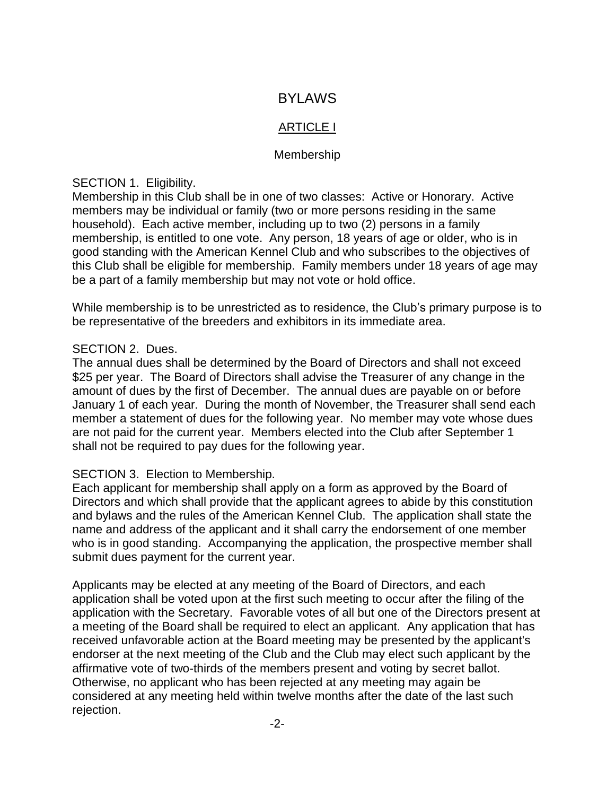## BYLAWS

## ARTICLE I

#### Membership

SECTION 1. Eligibility.

Membership in this Club shall be in one of two classes: Active or Honorary. Active members may be individual or family (two or more persons residing in the same household). Each active member, including up to two (2) persons in a family membership, is entitled to one vote. Any person, 18 years of age or older, who is in good standing with the American Kennel Club and who subscribes to the objectives of this Club shall be eligible for membership. Family members under 18 years of age may be a part of a family membership but may not vote or hold office.

While membership is to be unrestricted as to residence, the Club's primary purpose is to be representative of the breeders and exhibitors in its immediate area.

#### SECTION 2. Dues.

The annual dues shall be determined by the Board of Directors and shall not exceed \$25 per year. The Board of Directors shall advise the Treasurer of any change in the amount of dues by the first of December. The annual dues are payable on or before January 1 of each year. During the month of November, the Treasurer shall send each member a statement of dues for the following year. No member may vote whose dues are not paid for the current year. Members elected into the Club after September 1 shall not be required to pay dues for the following year.

#### SECTION 3. Election to Membership.

Each applicant for membership shall apply on a form as approved by the Board of Directors and which shall provide that the applicant agrees to abide by this constitution and bylaws and the rules of the American Kennel Club. The application shall state the name and address of the applicant and it shall carry the endorsement of one member who is in good standing. Accompanying the application, the prospective member shall submit dues payment for the current year.

Applicants may be elected at any meeting of the Board of Directors, and each application shall be voted upon at the first such meeting to occur after the filing of the application with the Secretary. Favorable votes of all but one of the Directors present at a meeting of the Board shall be required to elect an applicant. Any application that has received unfavorable action at the Board meeting may be presented by the applicant's endorser at the next meeting of the Club and the Club may elect such applicant by the affirmative vote of two-thirds of the members present and voting by secret ballot. Otherwise, no applicant who has been rejected at any meeting may again be considered at any meeting held within twelve months after the date of the last such rejection.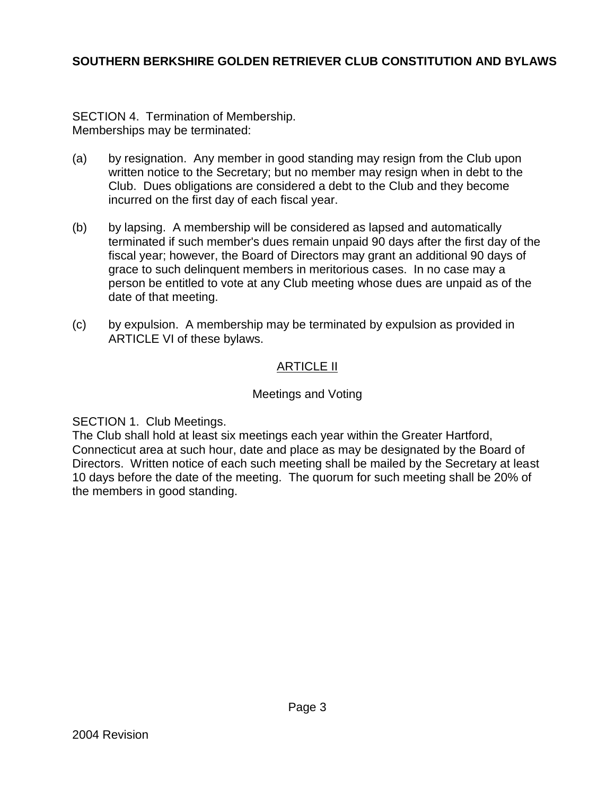SECTION 4. Termination of Membership. Memberships may be terminated:

- (a) by resignation. Any member in good standing may resign from the Club upon written notice to the Secretary; but no member may resign when in debt to the Club. Dues obligations are considered a debt to the Club and they become incurred on the first day of each fiscal year.
- (b) by lapsing. A membership will be considered as lapsed and automatically terminated if such member's dues remain unpaid 90 days after the first day of the fiscal year; however, the Board of Directors may grant an additional 90 days of grace to such delinquent members in meritorious cases. In no case may a person be entitled to vote at any Club meeting whose dues are unpaid as of the date of that meeting.
- (c) by expulsion. A membership may be terminated by expulsion as provided in ARTICLE VI of these bylaws.

## ARTICLE II

## Meetings and Voting

SECTION 1. Club Meetings.

The Club shall hold at least six meetings each year within the Greater Hartford, Connecticut area at such hour, date and place as may be designated by the Board of Directors. Written notice of each such meeting shall be mailed by the Secretary at least 10 days before the date of the meeting. The quorum for such meeting shall be 20% of the members in good standing.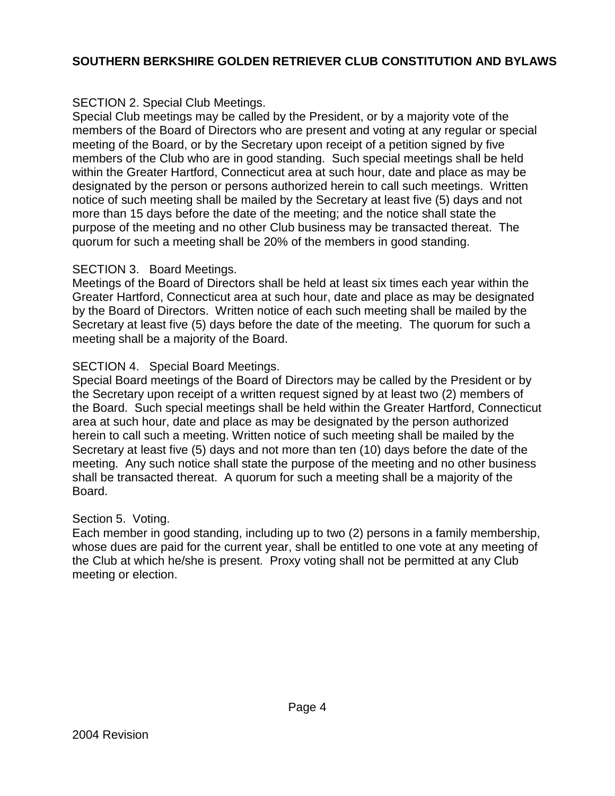## SECTION 2. Special Club Meetings.

Special Club meetings may be called by the President, or by a majority vote of the members of the Board of Directors who are present and voting at any regular or special meeting of the Board, or by the Secretary upon receipt of a petition signed by five members of the Club who are in good standing. Such special meetings shall be held within the Greater Hartford, Connecticut area at such hour, date and place as may be designated by the person or persons authorized herein to call such meetings. Written notice of such meeting shall be mailed by the Secretary at least five (5) days and not more than 15 days before the date of the meeting; and the notice shall state the purpose of the meeting and no other Club business may be transacted thereat. The quorum for such a meeting shall be 20% of the members in good standing.

#### SECTION 3. Board Meetings.

Meetings of the Board of Directors shall be held at least six times each year within the Greater Hartford, Connecticut area at such hour, date and place as may be designated by the Board of Directors. Written notice of each such meeting shall be mailed by the Secretary at least five (5) days before the date of the meeting. The quorum for such a meeting shall be a majority of the Board.

#### SECTION 4. Special Board Meetings.

Special Board meetings of the Board of Directors may be called by the President or by the Secretary upon receipt of a written request signed by at least two (2) members of the Board. Such special meetings shall be held within the Greater Hartford, Connecticut area at such hour, date and place as may be designated by the person authorized herein to call such a meeting. Written notice of such meeting shall be mailed by the Secretary at least five (5) days and not more than ten (10) days before the date of the meeting. Any such notice shall state the purpose of the meeting and no other business shall be transacted thereat. A quorum for such a meeting shall be a majority of the Board.

#### Section 5. Voting.

Each member in good standing, including up to two (2) persons in a family membership, whose dues are paid for the current year, shall be entitled to one vote at any meeting of the Club at which he/she is present. Proxy voting shall not be permitted at any Club meeting or election.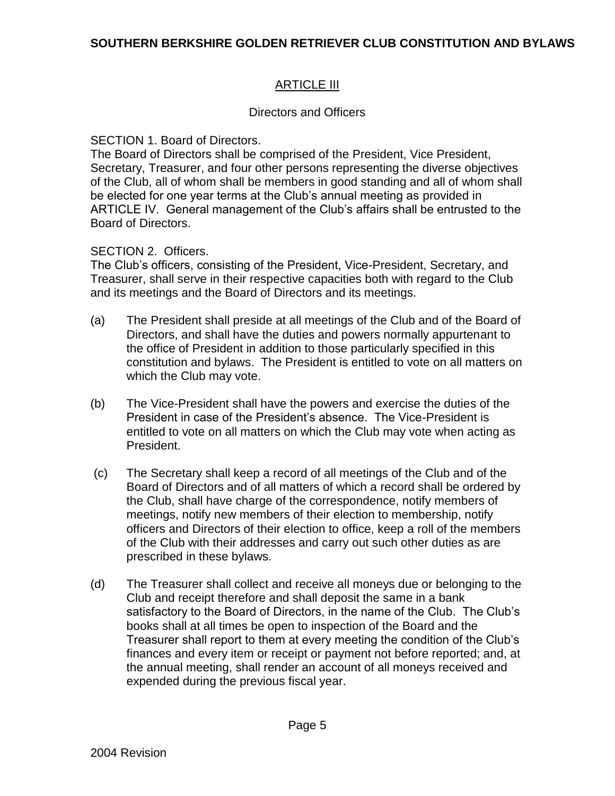## **ARTICLE III**

## Directors and Officers

#### SECTION 1. Board of Directors.

The Board of Directors shall be comprised of the President, Vice President, Secretary, Treasurer, and four other persons representing the diverse objectives of the Club, all of whom shall be members in good standing and all of whom shall be elected for one year terms at the Club's annual meeting as provided in ARTICLE IV. General management of the Club's affairs shall be entrusted to the Board of Directors.

#### SECTION 2. Officers.

The Club's officers, consisting of the President, Vice-President, Secretary, and Treasurer, shall serve in their respective capacities both with regard to the Club and its meetings and the Board of Directors and its meetings.

- (a) The President shall preside at all meetings of the Club and of the Board of Directors, and shall have the duties and powers normally appurtenant to the office of President in addition to those particularly specified in this constitution and bylaws. The President is entitled to vote on all matters on which the Club may vote.
- (b) The Vice-President shall have the powers and exercise the duties of the President in case of the President's absence. The Vice-President is entitled to vote on all matters on which the Club may vote when acting as President.
- (c) The Secretary shall keep a record of all meetings of the Club and of the Board of Directors and of all matters of which a record shall be ordered by the Club, shall have charge of the correspondence, notify members of meetings, notify new members of their election to membership, notify officers and Directors of their election to office, keep a roll of the members of the Club with their addresses and carry out such other duties as are prescribed in these bylaws.
- (d) The Treasurer shall collect and receive all moneys due or belonging to the Club and receipt therefore and shall deposit the same in a bank satisfactory to the Board of Directors, in the name of the Club. The Club's books shall at all times be open to inspection of the Board and the Treasurer shall report to them at every meeting the condition of the Club's finances and every item or receipt or payment not before reported; and, at the annual meeting, shall render an account of all moneys received and expended during the previous fiscal year.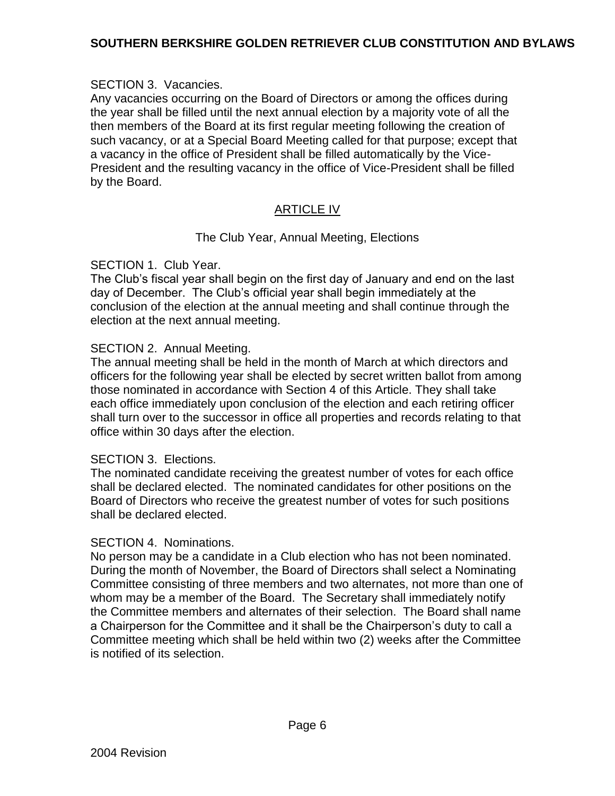#### SECTION 3. Vacancies.

Any vacancies occurring on the Board of Directors or among the offices during the year shall be filled until the next annual election by a majority vote of all the then members of the Board at its first regular meeting following the creation of such vacancy, or at a Special Board Meeting called for that purpose; except that a vacancy in the office of President shall be filled automatically by the Vice-President and the resulting vacancy in the office of Vice-President shall be filled by the Board.

## ARTICLE IV

#### The Club Year, Annual Meeting, Elections

#### SECTION 1. Club Year.

The Club's fiscal year shall begin on the first day of January and end on the last day of December. The Club's official year shall begin immediately at the conclusion of the election at the annual meeting and shall continue through the election at the next annual meeting.

#### SECTION 2. Annual Meeting.

The annual meeting shall be held in the month of March at which directors and officers for the following year shall be elected by secret written ballot from among those nominated in accordance with Section 4 of this Article. They shall take each office immediately upon conclusion of the election and each retiring officer shall turn over to the successor in office all properties and records relating to that office within 30 days after the election.

#### SECTION 3. Elections.

The nominated candidate receiving the greatest number of votes for each office shall be declared elected. The nominated candidates for other positions on the Board of Directors who receive the greatest number of votes for such positions shall be declared elected.

#### SECTION 4. Nominations.

No person may be a candidate in a Club election who has not been nominated. During the month of November, the Board of Directors shall select a Nominating Committee consisting of three members and two alternates, not more than one of whom may be a member of the Board. The Secretary shall immediately notify the Committee members and alternates of their selection. The Board shall name a Chairperson for the Committee and it shall be the Chairperson's duty to call a Committee meeting which shall be held within two (2) weeks after the Committee is notified of its selection.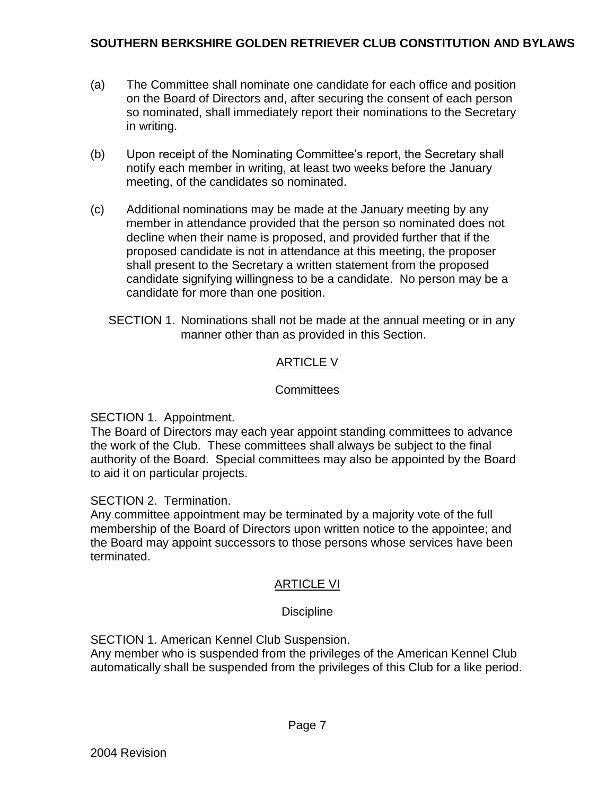- (a) The Committee shall nominate one candidate for each office and position on the Board of Directors and, after securing the consent of each person so nominated, shall immediately report their nominations to the Secretary in writing.
- (b) Upon receipt of the Nominating Committee's report, the Secretary shall notify each member in writing, at least two weeks before the January meeting, of the candidates so nominated.
- (c) Additional nominations may be made at the January meeting by any member in attendance provided that the person so nominated does not decline when their name is proposed, and provided further that if the proposed candidate is not in attendance at this meeting, the proposer shall present to the Secretary a written statement from the proposed candidate signifying willingness to be a candidate. No person may be a candidate for more than one position.
	- SECTION 1. Nominations shall not be made at the annual meeting or in any manner other than as provided in this Section.

## ARTICLE V

## **Committees**

SECTION 1. Appointment.

The Board of Directors may each year appoint standing committees to advance the work of the Club. These committees shall always be subject to the final authority of the Board. Special committees may also be appointed by the Board to aid it on particular projects.

#### SECTION 2. Termination.

Any committee appointment may be terminated by a majority vote of the full membership of the Board of Directors upon written notice to the appointee; and the Board may appoint successors to those persons whose services have been terminated.

## ARTICLE VI

## **Discipline**

SECTION 1. American Kennel Club Suspension.

Any member who is suspended from the privileges of the American Kennel Club automatically shall be suspended from the privileges of this Club for a like period.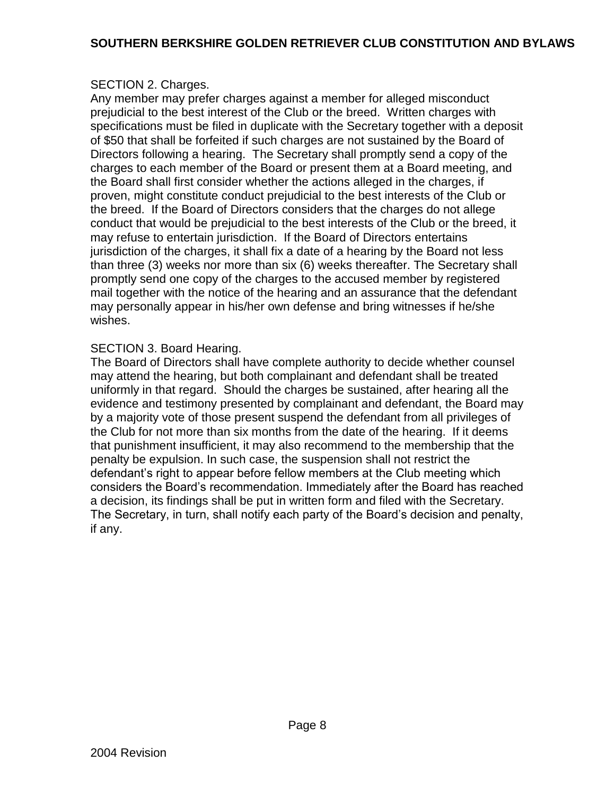## SECTION 2. Charges.

Any member may prefer charges against a member for alleged misconduct prejudicial to the best interest of the Club or the breed. Written charges with specifications must be filed in duplicate with the Secretary together with a deposit of \$50 that shall be forfeited if such charges are not sustained by the Board of Directors following a hearing. The Secretary shall promptly send a copy of the charges to each member of the Board or present them at a Board meeting, and the Board shall first consider whether the actions alleged in the charges, if proven, might constitute conduct prejudicial to the best interests of the Club or the breed. If the Board of Directors considers that the charges do not allege conduct that would be prejudicial to the best interests of the Club or the breed, it may refuse to entertain jurisdiction. If the Board of Directors entertains jurisdiction of the charges, it shall fix a date of a hearing by the Board not less than three (3) weeks nor more than six (6) weeks thereafter. The Secretary shall promptly send one copy of the charges to the accused member by registered mail together with the notice of the hearing and an assurance that the defendant may personally appear in his/her own defense and bring witnesses if he/she wishes.

#### SECTION 3. Board Hearing.

The Board of Directors shall have complete authority to decide whether counsel may attend the hearing, but both complainant and defendant shall be treated uniformly in that regard. Should the charges be sustained, after hearing all the evidence and testimony presented by complainant and defendant, the Board may by a majority vote of those present suspend the defendant from all privileges of the Club for not more than six months from the date of the hearing. If it deems that punishment insufficient, it may also recommend to the membership that the penalty be expulsion. In such case, the suspension shall not restrict the defendant's right to appear before fellow members at the Club meeting which considers the Board's recommendation. Immediately after the Board has reached a decision, its findings shall be put in written form and filed with the Secretary. The Secretary, in turn, shall notify each party of the Board's decision and penalty, if any.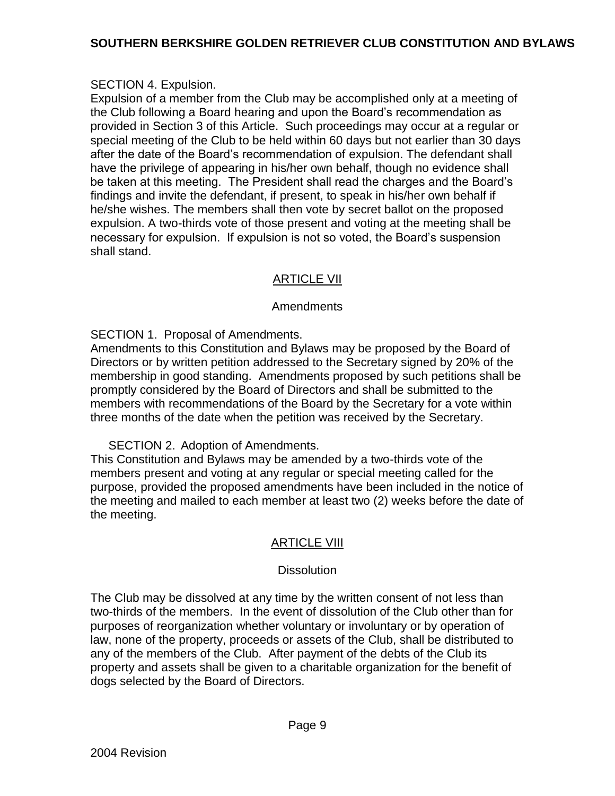## SECTION 4. Expulsion.

Expulsion of a member from the Club may be accomplished only at a meeting of the Club following a Board hearing and upon the Board's recommendation as provided in Section 3 of this Article. Such proceedings may occur at a regular or special meeting of the Club to be held within 60 days but not earlier than 30 days after the date of the Board's recommendation of expulsion. The defendant shall have the privilege of appearing in his/her own behalf, though no evidence shall be taken at this meeting. The President shall read the charges and the Board's findings and invite the defendant, if present, to speak in his/her own behalf if he/she wishes. The members shall then vote by secret ballot on the proposed expulsion. A two-thirds vote of those present and voting at the meeting shall be necessary for expulsion. If expulsion is not so voted, the Board's suspension shall stand.

## ARTICLE VII

## Amendments

SECTION 1. Proposal of Amendments.

Amendments to this Constitution and Bylaws may be proposed by the Board of Directors or by written petition addressed to the Secretary signed by 20% of the membership in good standing. Amendments proposed by such petitions shall be promptly considered by the Board of Directors and shall be submitted to the members with recommendations of the Board by the Secretary for a vote within three months of the date when the petition was received by the Secretary.

SECTION 2. Adoption of Amendments.

This Constitution and Bylaws may be amended by a two-thirds vote of the members present and voting at any regular or special meeting called for the purpose, provided the proposed amendments have been included in the notice of the meeting and mailed to each member at least two (2) weeks before the date of the meeting.

## ARTICLE VIII

## **Dissolution**

The Club may be dissolved at any time by the written consent of not less than two-thirds of the members. In the event of dissolution of the Club other than for purposes of reorganization whether voluntary or involuntary or by operation of law, none of the property, proceeds or assets of the Club, shall be distributed to any of the members of the Club. After payment of the debts of the Club its property and assets shall be given to a charitable organization for the benefit of dogs selected by the Board of Directors.